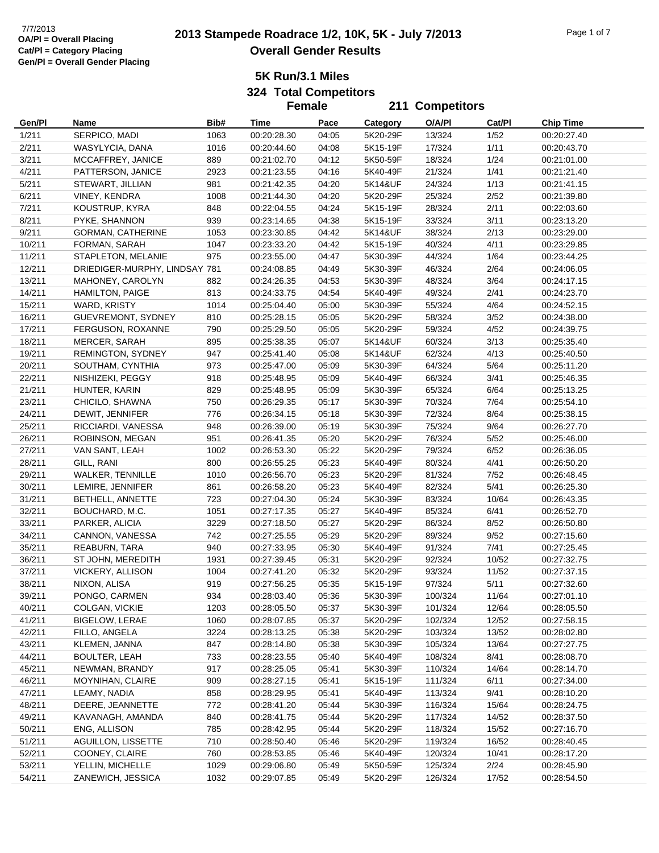# **2013 Stampede Roadrace 1/2, 10K, 5K - July 7/2013** 7/7/2013 Page 1 of 7 **Overall Gender Results**

**5K Run/3.1 Miles**

**324 Total Competitors Female**

|                  |                                  |            | <b>Female</b>              |                |                      | 211 Competitors |              |                            |
|------------------|----------------------------------|------------|----------------------------|----------------|----------------------|-----------------|--------------|----------------------------|
| Gen/PI           | Name                             | Bib#       | Time                       | Pace           | Category             | O/A/PI          | Cat/PI       | <b>Chip Time</b>           |
| 1/211            | SERPICO, MADI                    | 1063       | 00:20:28.30                | 04:05          | 5K20-29F             | 13/324          | 1/52         | 00:20:27.40                |
| 2/211            | WASYLYCIA, DANA                  | 1016       | 00:20:44.60                | 04:08          | 5K15-19F             | 17/324          | 1/11         | 00:20:43.70                |
| 3/211            | MCCAFFREY, JANICE                | 889        | 00:21:02.70                | 04:12          | 5K50-59F             | 18/324          | 1/24         | 00:21:01.00                |
| 4/211            | PATTERSON, JANICE                | 2923       | 00:21:23.55                | 04:16          | 5K40-49F             | 21/324          | 1/41         | 00:21:21.40                |
| 5/211            | STEWART, JILLIAN                 | 981        | 00:21:42.35                | 04:20          | 5K14&UF              | 24/324          | 1/13         | 00:21:41.15                |
| 6/211            | VINEY, KENDRA                    | 1008       | 00:21:44.30                | 04:20          | 5K20-29F             | 25/324          | 2/52         | 00:21:39.80                |
| 7/211            | KOUSTRUP, KYRA                   | 848        | 00:22:04.55                | 04:24          | 5K15-19F             | 28/324          | 2/11         | 00:22:03.60                |
| 8/211            | PYKE, SHANNON                    | 939        | 00:23:14.65                | 04:38          | 5K15-19F             | 33/324          | 3/11         | 00:23:13.20                |
| 9/211            | GORMAN, CATHERINE                | 1053       | 00:23:30.85                | 04:42          | 5K14&UF              | 38/324          | 2/13         | 00:23:29.00                |
| 10/211           | FORMAN, SARAH                    | 1047       | 00:23:33.20                | 04:42          | 5K15-19F             | 40/324          | 4/11         | 00:23:29.85                |
| 11/211           | STAPLETON, MELANIE               | 975        | 00:23:55.00                | 04:47          | 5K30-39F             | 44/324          | 1/64         | 00:23:44.25                |
| 12/211           | DRIEDIGER-MURPHY, LINDSAY 781    |            | 00:24:08.85                | 04:49          | 5K30-39F             | 46/324          | 2/64         | 00:24:06.05                |
| 13/211           | MAHONEY, CAROLYN                 | 882        | 00:24:26.35                | 04:53          | 5K30-39F             | 48/324          | 3/64         | 00:24:17.15                |
| 14/211           | <b>HAMILTON, PAIGE</b>           | 813        | 00:24:33.75                | 04:54          | 5K40-49F             | 49/324          | 2/41         | 00:24:23.70                |
| 15/211           | WARD, KRISTY                     | 1014       | 00:25:04.40                | 05:00          | 5K30-39F             | 55/324          | 4/64         | 00:24:52.15                |
| 16/211           | <b>GUEVREMONT, SYDNEY</b>        | 810        | 00:25:28.15                | 05:05          | 5K20-29F             | 58/324          | 3/52         | 00:24:38.00                |
| 17/211           | FERGUSON, ROXANNE                | 790        | 00:25:29.50                | 05:05          | 5K20-29F             | 59/324          | 4/52         | 00:24:39.75                |
| 18/211           | MERCER, SARAH                    | 895        | 00:25:38.35                | 05:07          | 5K14&UF              | 60/324          | 3/13         | 00:25:35.40                |
| 19/211           | REMINGTON, SYDNEY                | 947        | 00:25:41.40                | 05:08          | 5K14&UF              | 62/324          | 4/13         | 00:25:40.50                |
| 20/211           | SOUTHAM, CYNTHIA                 | 973        | 00:25:47.00                | 05:09          | 5K30-39F             | 64/324          | 5/64         | 00:25:11.20                |
| 22/211           | NISHIZEKI, PEGGY                 | 918        | 00:25:48.95                | 05:09          | 5K40-49F             | 66/324          | 3/41         | 00:25:46.35                |
| 21/211           | HUNTER, KARIN                    | 829        | 00:25:48.95                | 05:09          | 5K30-39F             | 65/324          | 6/64         | 00:25:13.25                |
| 23/211           | CHICILO, SHAWNA                  | 750        | 00:26:29.35                | 05:17          | 5K30-39F             | 70/324          | 7/64         | 00:25:54.10                |
| 24/211           | DEWIT, JENNIFER                  | 776        | 00:26:34.15                | 05:18          | 5K30-39F             | 72/324          | 8/64         | 00:25:38.15                |
| 25/211           | RICCIARDI, VANESSA               | 948        | 00:26:39.00                | 05:19          | 5K30-39F             | 75/324          | 9/64         | 00:26:27.70                |
| 26/211           | ROBINSON, MEGAN                  | 951        | 00:26:41.35                | 05:20          | 5K20-29F             | 76/324          | $5/52$       | 00:25:46.00                |
| 27/211           | VAN SANT, LEAH                   | 1002       | 00:26:53.30                | 05:22          | 5K20-29F             | 79/324          | 6/52         | 00:26:36.05                |
| 28/211           | GILL, RANI                       | 800        | 00:26:55.25                | 05:23          | 5K40-49F             | 80/324          | 4/41         | 00:26:50.20                |
| 29/211           | WALKER, TENNILLE                 | 1010       | 00:26:56.70                | 05:23          | 5K20-29F             | 81/324          | 7/52         | 00:26:48.45                |
| 30/211           | LEMIRE, JENNIFER                 | 861        | 00:26:58.20                | 05:23          | 5K40-49F             | 82/324          | 5/41         | 00:26:25.30                |
| 31/211           | BETHELL, ANNETTE                 | 723        | 00:27:04.30                | 05:24          | 5K30-39F             | 83/324          | 10/64        | 00:26:43.35                |
| 32/211           | BOUCHARD, M.C.                   | 1051       | 00:27:17.35                | 05:27          | 5K40-49F             | 85/324          | 6/41         | 00:26:52.70                |
| 33/211           | PARKER, ALICIA                   | 3229       | 00:27:18.50                | 05:27          | 5K20-29F             | 86/324          | 8/52         | 00:26:50.80                |
| 34/211           | CANNON, VANESSA                  | 742        | 00:27:25.55                | 05:29          | 5K20-29F             | 89/324          | 9/52         | 00:27:15.60                |
| 35/211           | REABURN, TARA                    | 940        | 00:27:33.95                | 05:30          | 5K40-49F             | 91/324          | 7/41         | 00:27:25.45                |
| 36/211           | ST JOHN, MEREDITH                | 1931       | 00:27:39.45                | 05:31          | 5K20-29F             | 92/324          | 10/52        | 00:27:32.75                |
| 37/211           | VICKERY, ALLISON                 | 1004       | 00:27:41.20                | 05:32          | 5K20-29F             | 93/324          | 11/52        | 00:27:37.15                |
| 38/211           | NIXON, ALISA                     | 919        | 00:27:56.25                | 05:35          | 5K15-19F             | 97/324          | 5/11         | 00:27:32.60                |
| 39/211           | PONGO, CARMEN                    | 934        | 00:28:03.40                | 05:36          | 5K30-39F             | 100/324         | 11/64        | 00:27:01.10                |
| 40/211           | COLGAN, VICKIE                   | 1203       | 00:28:05.50                | 05:37          | 5K30-39F             | 101/324         | 12/64        | 00:28:05.50                |
| 41/211           | <b>BIGELOW, LERAE</b>            | 1060       | 00:28:07.85                | 05:37          | 5K20-29F             | 102/324         | 12/52        | 00:27:58.15                |
| 42/211           | FILLO, ANGELA                    | 3224       | 00:28:13.25                | 05:38          | 5K20-29F             | 103/324         | 13/52        | 00:28:02.80                |
| 43/211           | KLEMEN, JANNA                    | 847        | 00:28:14.80                | 05:38          | 5K30-39F             | 105/324         | 13/64        | 00:27:27.75                |
| 44/211           | <b>BOULTER, LEAH</b>             | 733        | 00:28:23.55                | 05:40          | 5K40-49F             | 108/324         | 8/41         | 00:28:08.70                |
| 45/211           | NEWMAN, BRANDY                   | 917        | 00:28:25.05                | 05:41          | 5K30-39F             | 110/324         | 14/64        | 00:28:14.70                |
|                  |                                  |            |                            |                |                      |                 |              |                            |
| 46/211<br>47/211 | MOYNIHAN, CLAIRE<br>LEAMY, NADIA | 909<br>858 | 00:28:27.15                | 05:41<br>05:41 | 5K15-19F<br>5K40-49F | 111/324         | 6/11<br>9/41 | 00:27:34.00<br>00:28:10.20 |
|                  |                                  |            | 00:28:29.95                |                |                      | 113/324         |              |                            |
| 48/211           | DEERE, JEANNETTE                 | 772        | 00:28:41.20<br>00:28:41.75 | 05:44          | 5K30-39F             | 116/324         | 15/64        | 00:28:24.75                |
| 49/211           | KAVANAGH, AMANDA                 | 840        |                            | 05:44          | 5K20-29F             | 117/324         | 14/52        | 00:28:37.50                |
| 50/211           | ENG, ALLISON                     | 785        | 00:28:42.95                | 05:44          | 5K20-29F             | 118/324         | 15/52        | 00:27:16.70                |
| 51/211           | AGUILLON, LISSETTE               | 710        | 00:28:50.40                | 05:46          | 5K20-29F             | 119/324         | 16/52        | 00:28:40.45                |
| 52/211           | COONEY, CLAIRE                   | 760        | 00:28:53.85                | 05:46          | 5K40-49F             | 120/324         | 10/41        | 00:28:17.20                |
| 53/211           | YELLIN, MICHELLE                 | 1029       | 00:29:06.80                | 05:49          | 5K50-59F             | 125/324         | 2/24         | 00:28:45.90                |
| 54/211           | ZANEWICH, JESSICA                | 1032       | 00:29:07.85                | 05:49          | 5K20-29F             | 126/324         | 17/52        | 00:28:54.50                |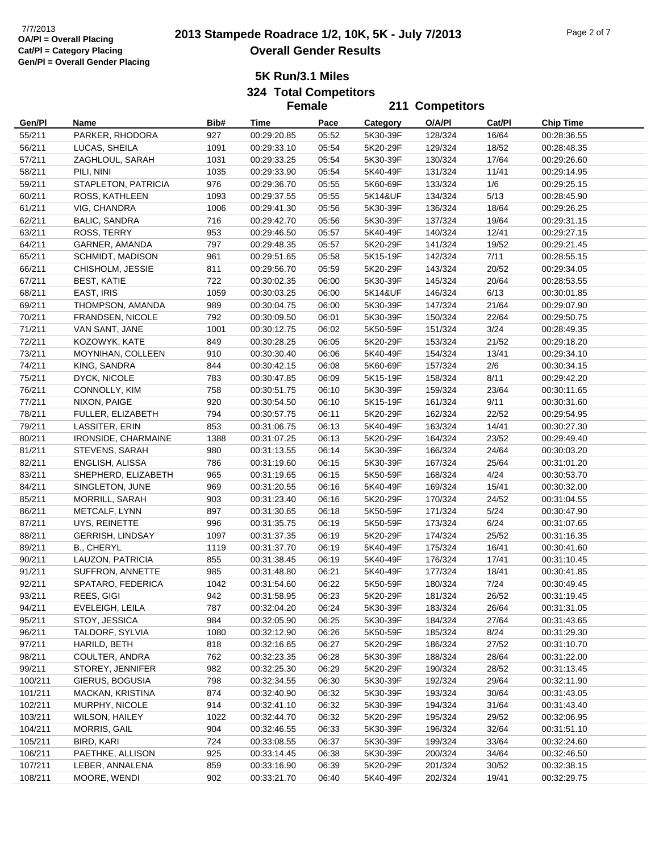# **2013 Stampede Roadrace 1/2, 10K, 5K - July 7/2013** 7/7/2013 Page 2 of 7 **Overall Gender Results**

**5K Run/3.1 Miles**

**324 Total Competitors**

|                  |                                              |             | <b>Female</b>              |                |                      | 211 Competitors    |                |                            |
|------------------|----------------------------------------------|-------------|----------------------------|----------------|----------------------|--------------------|----------------|----------------------------|
| Gen/PI           | Name                                         | Bib#        | Time                       | Pace           | Category             | O/A/PI             | Cat/PI         | <b>Chip Time</b>           |
| 55/211           | PARKER, RHODORA                              | 927         | 00:29:20.85                | 05:52          | 5K30-39F             | 128/324            | 16/64          | 00:28:36.55                |
| 56/211           | LUCAS, SHEILA                                | 1091        | 00:29:33.10                | 05:54          | 5K20-29F             | 129/324            | 18/52          | 00:28:48.35                |
| 57/211           | ZAGHLOUL, SARAH                              | 1031        | 00:29:33.25                | 05:54          | 5K30-39F             | 130/324            | 17/64          | 00:29:26.60                |
| 58/211           | PILI, NINI                                   | 1035        | 00:29:33.90                | 05:54          | 5K40-49F             | 131/324            | 11/41          | 00:29:14.95                |
| 59/211           | STAPLETON, PATRICIA                          | 976         | 00:29:36.70                | 05:55          | 5K60-69F             | 133/324            | 1/6            | 00:29:25.15                |
| 60/211           | ROSS, KATHLEEN                               | 1093        | 00:29:37.55                | 05:55          | 5K14&UF              | 134/324            | 5/13           | 00:28:45.90                |
| 61/211           | VIG, CHANDRA                                 | 1006        | 00:29:41.30                | 05:56          | 5K30-39F             | 136/324            | 18/64          | 00:29:26.25                |
| 62/211           | <b>BALIC, SANDRA</b>                         | 716         | 00:29:42.70                | 05:56          | 5K30-39F             | 137/324            | 19/64          | 00:29:31.15                |
| 63/211           | ROSS, TERRY                                  | 953         | 00:29:46.50                | 05:57          | 5K40-49F             | 140/324            | 12/41          | 00:29:27.15                |
| 64/211           | GARNER, AMANDA                               | 797         | 00:29:48.35                | 05:57          | 5K20-29F             | 141/324            | 19/52          | 00:29:21.45                |
| 65/211           | SCHMIDT, MADISON                             | 961         | 00:29:51.65                | 05:58          | 5K15-19F             | 142/324            | 7/11           | 00:28:55.15                |
| 66/211           | CHISHOLM, JESSIE                             | 811         | 00:29:56.70                | 05:59          | 5K20-29F             | 143/324            | 20/52          | 00:29:34.05                |
| 67/211           | <b>BEST, KATIE</b>                           | 722         | 00:30:02.35                | 06:00          | 5K30-39F             | 145/324            | 20/64          | 00:28:53.55                |
| 68/211           | EAST, IRIS                                   | 1059        | 00:30:03.25                | 06:00          | 5K14&UF              | 146/324            | 6/13           | 00:30:01.85                |
| 69/211           | THOMPSON, AMANDA                             | 989         | 00:30:04.75                | 06:00          | 5K30-39F             | 147/324            | 21/64          | 00:29:07.90                |
| 70/211           | FRANDSEN, NICOLE                             | 792         | 00:30:09.50                | 06:01          | 5K30-39F             | 150/324            | 22/64          | 00:29:50.75                |
| 71/211           | VAN SANT, JANE                               | 1001        | 00:30:12.75                | 06:02          | 5K50-59F             | 151/324            | 3/24           | 00:28:49.35                |
| 72/211           | KOZOWYK, KATE                                | 849         | 00:30:28.25                | 06:05          | 5K20-29F             | 153/324            | 21/52          | 00:29:18.20                |
| 73/211           | MOYNIHAN, COLLEEN                            | 910         | 00:30:30.40                | 06:06          | 5K40-49F             | 154/324            | 13/41          | 00:29:34.10                |
| 74/211           | KING, SANDRA                                 | 844         | 00:30:42.15                | 06:08          | 5K60-69F             | 157/324            | 2/6            | 00:30:34.15                |
| 75/211           | DYCK, NICOLE                                 | 783         | 00:30:47.85                | 06:09          | 5K15-19F             | 158/324            | 8/11           | 00:29:42.20                |
| 76/211           | CONNOLLY, KIM                                | 758         | 00:30:51.75                | 06:10          | 5K30-39F             | 159/324            | 23/64          | 00:30:11.65                |
| 77/211           | NIXON, PAIGE                                 | 920         | 00:30:54.50                | 06:10          | 5K15-19F             | 161/324            | 9/11           | 00:30:31.60                |
| 78/211           | FULLER, ELIZABETH                            | 794         | 00:30:57.75                | 06:11          | 5K20-29F             | 162/324            | 22/52          | 00:29:54.95                |
| 79/211           | LASSITER, ERIN                               | 853         | 00:31:06.75                | 06:13          | 5K40-49F             | 163/324            | 14/41          | 00:30:27.30                |
| 80/211           | IRONSIDE, CHARMAINE                          | 1388        | 00:31:07.25                | 06:13          | 5K20-29F             | 164/324            | 23/52          | 00:29:49.40                |
| 81/211           | STEVENS, SARAH                               | 980         | 00:31:13.55                | 06:14          | 5K30-39F             | 166/324            | 24/64          | 00:30:03.20                |
| 82/211           | ENGLISH, ALISSA                              | 786         | 00:31:19.60                | 06:15          | 5K30-39F             | 167/324            | 25/64          | 00:31:01.20                |
| 83/211           | SHEPHERD, ELIZABETH                          | 965         | 00:31:19.65                | 06:15          | 5K50-59F             | 168/324            | 4/24           | 00:30:53.70                |
| 84/211           | SINGLETON, JUNE                              | 969         | 00:31:20.55                | 06:16          | 5K40-49F             | 169/324            | 15/41          | 00:30:32.00                |
| 85/211           | MORRILL, SARAH                               | 903         | 00:31:23.40                | 06:16          | 5K20-29F             | 170/324            | 24/52          | 00:31:04.55                |
| 86/211           | METCALF, LYNN                                | 897         | 00:31:30.65                | 06:18          | 5K50-59F             | 171/324            | 5/24           | 00:30:47.90                |
| 87/211           | UYS, REINETTE                                | 996         | 00:31:35.75                | 06:19          | 5K50-59F             | 173/324            | 6/24           | 00:31:07.65<br>00:31:16.35 |
| 88/211           | <b>GERRISH, LINDSAY</b><br><b>B., CHERYL</b> | 1097        | 00:31:37.35                | 06:19          | 5K20-29F             | 174/324            | 25/52          |                            |
| 89/211<br>90/211 |                                              | 1119<br>855 | 00:31:37.70<br>00:31:38.45 | 06:19<br>06:19 | 5K40-49F<br>5K40-49F | 175/324<br>176/324 | 16/41<br>17/41 | 00:30:41.60                |
| 91/211           | LAUZON, PATRICIA<br>SUFFRON, ANNETTE         | 985         | 00:31:48.80                | 06:21          | 5K40-49F             | 177/324            | 18/41          | 00:31:10.45<br>00:30:41.85 |
| 92/211           | SPATARO, FEDERICA                            | 1042        | 00:31:54.60                | 06:22          | 5K50-59F             | 180/324            | 7/24           | 00:30:49.45                |
| 93/211           | REES, GIGI                                   | 942         | 00:31:58.95                | 06:23          | 5K20-29F             | 181/324            | 26/52          | 00:31:19.45                |
| 94/211           | EVELEIGH, LEILA                              | 787         | 00:32:04.20                | 06:24          | 5K30-39F             | 183/324            | 26/64          | 00:31:31.05                |
| 95/211           | STOY, JESSICA                                | 984         | 00:32:05.90                | 06:25          | 5K30-39F             | 184/324            | 27/64          | 00:31:43.65                |
| 96/211           | TALDORF, SYLVIA                              | 1080        | 00:32:12.90                | 06:26          | 5K50-59F             | 185/324            | 8/24           | 00:31:29.30                |
| 97/211           | HARILD, BETH                                 | 818         | 00:32:16.65                | 06:27          | 5K20-29F             | 186/324            | 27/52          | 00:31:10.70                |
| 98/211           | COULTER, ANDRA                               | 762         | 00:32:23.35                | 06:28          | 5K30-39F             | 188/324            | 28/64          | 00:31:22.00                |
| 99/211           | STOREY, JENNIFER                             | 982         | 00:32:25.30                | 06:29          | 5K20-29F             | 190/324            | 28/52          | 00:31:13.45                |
| 100/211          | GIERUS, BOGUSIA                              | 798         | 00:32:34.55                | 06:30          | 5K30-39F             | 192/324            | 29/64          | 00:32:11.90                |
| 101/211          | MACKAN, KRISTINA                             | 874         | 00:32:40.90                | 06:32          | 5K30-39F             | 193/324            | 30/64          | 00:31:43.05                |
| 102/211          | MURPHY, NICOLE                               | 914         | 00:32:41.10                | 06:32          | 5K30-39F             | 194/324            | 31/64          | 00:31:43.40                |
| 103/211          | <b>WILSON, HAILEY</b>                        | 1022        | 00:32:44.70                | 06:32          | 5K20-29F             | 195/324            | 29/52          | 00:32:06.95                |
| 104/211          | MORRIS, GAIL                                 | 904         | 00:32:46.55                | 06:33          | 5K30-39F             | 196/324            | 32/64          | 00:31:51.10                |
| 105/211          | BIRD, KARI                                   | 724         | 00:33:08.55                | 06:37          | 5K30-39F             | 199/324            | 33/64          | 00:32:24.60                |
| 106/211          | PAETHKE, ALLISON                             | 925         | 00:33:14.45                | 06:38          | 5K30-39F             | 200/324            | 34/64          | 00:32:46.50                |
| 107/211          | LEBER, ANNALENA                              | 859         | 00:33:16.90                | 06:39          | 5K20-29F             | 201/324            | 30/52          | 00:32:38.15                |
| 108/211          | MOORE, WENDI                                 | 902         | 00:33:21.70                | 06:40          | 5K40-49F             | 202/324            | 19/41          | 00:32:29.75                |
|                  |                                              |             |                            |                |                      |                    |                |                            |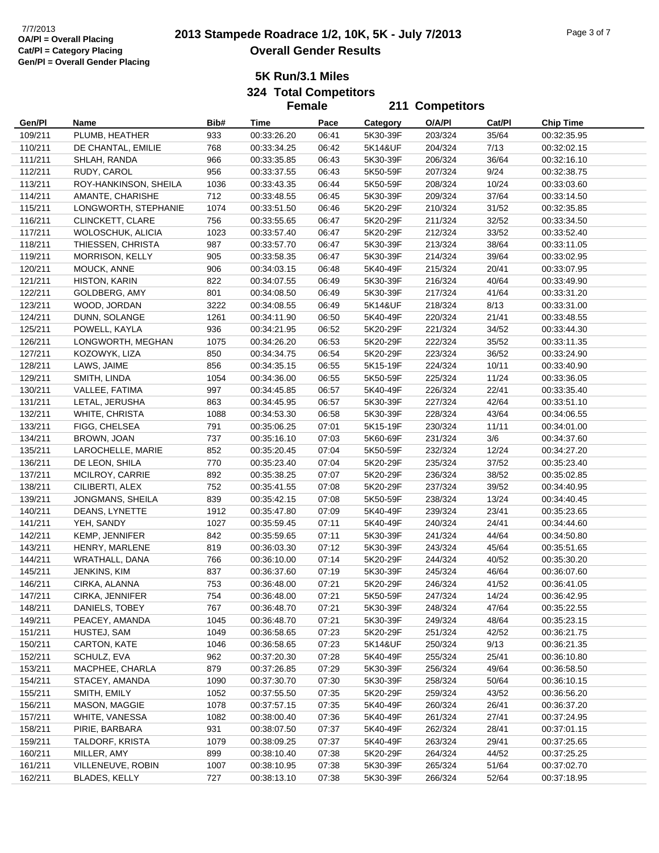# **2013 Stampede Roadrace 1/2, 10K, 5K - July 7/2013** 7/7/2013 Page 3 of 7 **Overall Gender Results**

**5K Run/3.1 Miles**

**324 Total Competitors Female**

|         |                        |      | <b>Female</b> |       |                 | 211 Competitors |        |                  |
|---------|------------------------|------|---------------|-------|-----------------|-----------------|--------|------------------|
| Gen/Pl  | Name                   | Bib# | Time          | Pace  | <b>Category</b> | O/A/PI          | Cat/Pl | <b>Chip Time</b> |
| 109/211 | PLUMB, HEATHER         | 933  | 00:33:26.20   | 06:41 | 5K30-39F        | 203/324         | 35/64  | 00:32:35.95      |
| 110/211 | DE CHANTAL, EMILIE     | 768  | 00:33:34.25   | 06:42 | 5K14&UF         | 204/324         | 7/13   | 00:32:02.15      |
| 111/211 | SHLAH, RANDA           | 966  | 00:33:35.85   | 06:43 | 5K30-39F        | 206/324         | 36/64  | 00:32:16.10      |
| 112/211 | RUDY, CAROL            | 956  | 00:33:37.55   | 06:43 | 5K50-59F        | 207/324         | 9/24   | 00:32:38.75      |
| 113/211 | ROY-HANKINSON, SHEILA  | 1036 | 00:33:43.35   | 06:44 | 5K50-59F        | 208/324         | 10/24  | 00:33:03.60      |
| 114/211 | AMANTE, CHARISHE       | 712  | 00:33:48.55   | 06:45 | 5K30-39F        | 209/324         | 37/64  | 00:33:14.50      |
| 115/211 | LONGWORTH, STEPHANIE   | 1074 | 00:33:51.50   | 06:46 | 5K20-29F        | 210/324         | 31/52  | 00:32:35.85      |
| 116/211 | CLINCKETT, CLARE       | 756  | 00:33:55.65   | 06:47 | 5K20-29F        | 211/324         | 32/52  | 00:33:34.50      |
| 117/211 | WOLOSCHUK, ALICIA      | 1023 | 00:33:57.40   | 06:47 | 5K20-29F        | 212/324         | 33/52  | 00:33:52.40      |
| 118/211 | THIESSEN, CHRISTA      | 987  | 00:33:57.70   | 06:47 | 5K30-39F        | 213/324         | 38/64  | 00:33:11.05      |
| 119/211 | <b>MORRISON, KELLY</b> | 905  | 00:33:58.35   | 06:47 | 5K30-39F        | 214/324         | 39/64  | 00:33:02.95      |
| 120/211 | MOUCK, ANNE            | 906  | 00:34:03.15   | 06:48 | 5K40-49F        | 215/324         | 20/41  | 00:33:07.95      |
| 121/211 | <b>HISTON, KARIN</b>   | 822  | 00:34:07.55   | 06:49 | 5K30-39F        | 216/324         | 40/64  | 00:33:49.90      |
| 122/211 | GOLDBERG, AMY          | 801  | 00:34:08.50   | 06:49 | 5K30-39F        | 217/324         | 41/64  | 00:33:31.20      |
| 123/211 | WOOD, JORDAN           | 3222 | 00:34:08.55   | 06:49 | 5K14&UF         | 218/324         | 8/13   | 00:33:31.00      |
| 124/211 | DUNN, SOLANGE          | 1261 | 00:34:11.90   | 06:50 | 5K40-49F        | 220/324         | 21/41  | 00:33:48.55      |
| 125/211 | POWELL, KAYLA          | 936  | 00:34:21.95   | 06:52 | 5K20-29F        | 221/324         | 34/52  | 00:33:44.30      |
| 126/211 | LONGWORTH, MEGHAN      | 1075 | 00:34:26.20   | 06:53 | 5K20-29F        | 222/324         | 35/52  | 00:33:11.35      |
| 127/211 | KOZOWYK, LIZA          | 850  | 00:34:34.75   | 06:54 | 5K20-29F        | 223/324         | 36/52  | 00:33:24.90      |
| 128/211 | LAWS, JAIME            | 856  | 00:34:35.15   | 06:55 | 5K15-19F        | 224/324         | 10/11  | 00:33:40.90      |
| 129/211 | SMITH, LINDA           | 1054 | 00:34:36.00   | 06:55 | 5K50-59F        | 225/324         | 11/24  | 00:33:36.05      |
| 130/211 | VALLEE, FATIMA         | 997  | 00:34:45.85   | 06:57 | 5K40-49F        | 226/324         | 22/41  | 00:33:35.40      |
| 131/211 | LETAL, JERUSHA         | 863  | 00:34:45.95   | 06:57 | 5K30-39F        | 227/324         | 42/64  | 00:33:51.10      |
| 132/211 | WHITE, CHRISTA         | 1088 | 00:34:53.30   | 06:58 | 5K30-39F        | 228/324         | 43/64  | 00:34:06.55      |
| 133/211 | FIGG, CHELSEA          | 791  | 00:35:06.25   | 07:01 | 5K15-19F        | 230/324         | 11/11  | 00:34:01.00      |
| 134/211 | BROWN, JOAN            | 737  | 00:35:16.10   | 07:03 | 5K60-69F        | 231/324         | 3/6    | 00:34:37.60      |
| 135/211 | LAROCHELLE, MARIE      | 852  | 00:35:20.45   | 07:04 | 5K50-59F        | 232/324         | 12/24  | 00:34:27.20      |
| 136/211 | DE LEON, SHILA         | 770  | 00:35:23.40   | 07:04 | 5K20-29F        | 235/324         | 37/52  | 00:35:23.40      |
| 137/211 | MCILROY, CARRIE        | 892  | 00:35:38.25   | 07:07 | 5K20-29F        | 236/324         | 38/52  | 00:35:02.85      |
| 138/211 | CILIBERTI, ALEX        | 752  | 00:35:41.55   | 07:08 | 5K20-29F        | 237/324         | 39/52  | 00:34:40.95      |
| 139/211 | JONGMANS, SHEILA       | 839  | 00:35:42.15   | 07:08 | 5K50-59F        | 238/324         | 13/24  | 00:34:40.45      |
| 140/211 | DEANS, LYNETTE         | 1912 | 00:35:47.80   | 07:09 | 5K40-49F        | 239/324         | 23/41  | 00:35:23.65      |
| 141/211 | YEH, SANDY             | 1027 | 00:35:59.45   | 07:11 | 5K40-49F        | 240/324         | 24/41  | 00:34:44.60      |
| 142/211 | KEMP, JENNIFER         | 842  | 00:35:59.65   | 07:11 | 5K30-39F        | 241/324         | 44/64  | 00:34:50.80      |
| 143/211 | HENRY, MARLENE         | 819  | 00:36:03.30   | 07:12 | 5K30-39F        | 243/324         | 45/64  | 00:35:51.65      |
| 144/211 | WRATHALL, DANA         | 766  | 00:36:10.00   | 07:14 | 5K20-29F        | 244/324         | 40/52  | 00:35:30.20      |
| 145/211 | JENKINS, KIM           | 837  | 00:36:37.60   | 07:19 | 5K30-39F        | 245/324         | 46/64  | 00:36:07.60      |
| 146/211 | CIRKA, ALANNA          | 753  | 00:36:48.00   | 07:21 | 5K20-29F        | 246/324         | 41/52  | 00:36:41.05      |
| 147/211 | CIRKA, JENNIFER        | 754  | 00:36:48.00   | 07:21 | 5K50-59F        | 247/324         | 14/24  | 00:36:42.95      |
| 148/211 | DANIELS, TOBEY         | 767  | 00:36:48.70   | 07:21 | 5K30-39F        | 248/324         | 47/64  | 00:35:22.55      |
| 149/211 | PEACEY, AMANDA         | 1045 | 00:36:48.70   | 07:21 | 5K30-39F        | 249/324         | 48/64  | 00:35:23.15      |
| 151/211 | HUSTEJ, SAM            | 1049 | 00:36:58.65   | 07:23 | 5K20-29F        | 251/324         | 42/52  | 00:36:21.75      |
| 150/211 | CARTON, KATE           | 1046 | 00:36:58.65   | 07:23 | 5K14&UF         | 250/324         | 9/13   | 00:36:21.35      |
| 152/211 | SCHULZ, EVA            | 962  | 00:37:20.30   | 07:28 | 5K40-49F        | 255/324         | 25/41  | 00:36:10.80      |
| 153/211 | MACPHEE, CHARLA        | 879  | 00:37:26.85   | 07:29 | 5K30-39F        | 256/324         | 49/64  | 00:36:58.50      |
| 154/211 | STACEY, AMANDA         | 1090 | 00:37:30.70   | 07:30 | 5K30-39F        | 258/324         | 50/64  | 00:36:10.15      |
| 155/211 | SMITH, EMILY           | 1052 | 00:37:55.50   | 07:35 | 5K20-29F        | 259/324         | 43/52  | 00:36:56.20      |
| 156/211 | MASON, MAGGIE          | 1078 | 00:37:57.15   | 07:35 | 5K40-49F        | 260/324         | 26/41  | 00:36:37.20      |
| 157/211 | WHITE, VANESSA         | 1082 | 00:38:00.40   | 07:36 | 5K40-49F        | 261/324         | 27/41  | 00:37:24.95      |
| 158/211 | PIRIE, BARBARA         | 931  | 00:38:07.50   | 07:37 | 5K40-49F        | 262/324         | 28/41  | 00:37:01.15      |
| 159/211 | TALDORF, KRISTA        | 1079 | 00:38:09.25   | 07:37 | 5K40-49F        | 263/324         | 29/41  | 00:37:25.65      |
| 160/211 | MILLER, AMY            | 899  | 00:38:10.40   | 07:38 | 5K20-29F        | 264/324         | 44/52  | 00:37:25.25      |
| 161/211 | VILLENEUVE, ROBIN      | 1007 | 00:38:10.95   | 07:38 | 5K30-39F        | 265/324         | 51/64  | 00:37:02.70      |
| 162/211 | BLADES, KELLY          | 727  | 00:38:13.10   | 07:38 | 5K30-39F        | 266/324         | 52/64  | 00:37:18.95      |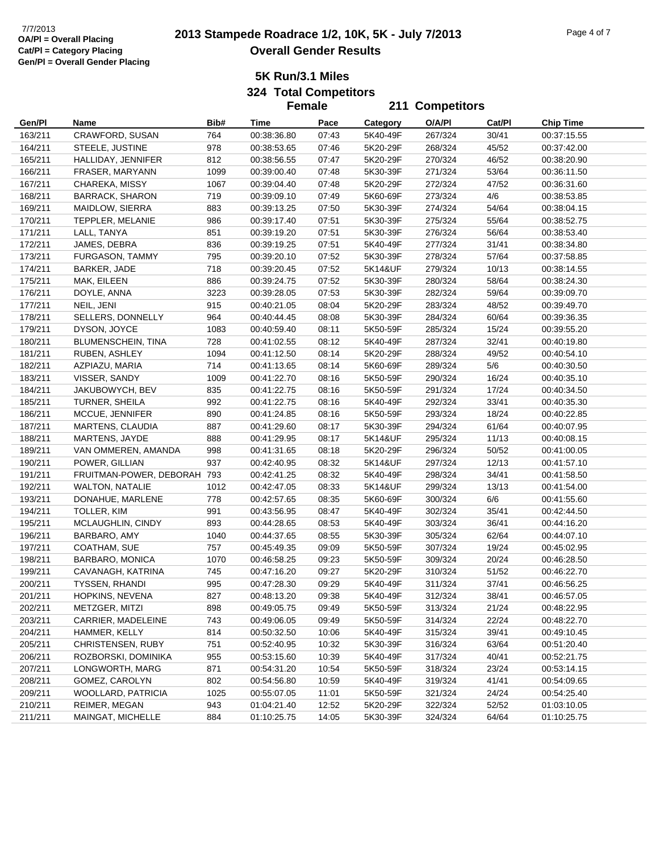# **2013 Stampede Roadrace 1/2, 10K, 5K - July 7/2013** 7/7/2013 Page 4 of 7 **Overall Gender Results**

**211 Competitors**

**5K Run/3.1 Miles**

**324 Total Competitors Female**

| Gen/Pl  | Name                        | Bib# | Time        | Pace  | Category | O/A/PI  | Cat/Pl | <b>Chip Time</b> |
|---------|-----------------------------|------|-------------|-------|----------|---------|--------|------------------|
| 163/211 | CRAWFORD, SUSAN             | 764  | 00:38:36.80 | 07:43 | 5K40-49F | 267/324 | 30/41  | 00:37:15.55      |
| 164/211 | STEELE, JUSTINE             | 978  | 00:38:53.65 | 07:46 | 5K20-29F | 268/324 | 45/52  | 00:37:42.00      |
| 165/211 | HALLIDAY, JENNIFER          | 812  | 00:38:56.55 | 07:47 | 5K20-29F | 270/324 | 46/52  | 00:38:20.90      |
| 166/211 | FRASER, MARYANN             | 1099 | 00:39:00.40 | 07:48 | 5K30-39F | 271/324 | 53/64  | 00:36:11.50      |
| 167/211 | CHAREKA, MISSY              | 1067 | 00:39:04.40 | 07:48 | 5K20-29F | 272/324 | 47/52  | 00:36:31.60      |
| 168/211 | <b>BARRACK, SHARON</b>      | 719  | 00:39:09.10 | 07:49 | 5K60-69F | 273/324 | 4/6    | 00:38:53.85      |
| 169/211 | MAIDLOW, SIERRA             | 883  | 00:39:13.25 | 07:50 | 5K30-39F | 274/324 | 54/64  | 00:38:04.15      |
| 170/211 | TEPPLER, MELANIE            | 986  | 00:39:17.40 | 07:51 | 5K30-39F | 275/324 | 55/64  | 00:38:52.75      |
| 171/211 | LALL, TANYA                 | 851  | 00:39:19.20 | 07:51 | 5K30-39F | 276/324 | 56/64  | 00:38:53.40      |
| 172/211 | JAMES, DEBRA                | 836  | 00:39:19.25 | 07:51 | 5K40-49F | 277/324 | 31/41  | 00:38:34.80      |
| 173/211 | FURGASON, TAMMY             | 795  | 00:39:20.10 | 07:52 | 5K30-39F | 278/324 | 57/64  | 00:37:58.85      |
| 174/211 | BARKER, JADE                | 718  | 00:39:20.45 | 07:52 | 5K14&UF  | 279/324 | 10/13  | 00:38:14.55      |
| 175/211 | MAK, EILEEN                 | 886  | 00:39:24.75 | 07:52 | 5K30-39F | 280/324 | 58/64  | 00:38:24.30      |
| 176/211 | DOYLE, ANNA                 | 3223 | 00:39:28.05 | 07:53 | 5K30-39F | 282/324 | 59/64  | 00:39:09.70      |
| 177/211 | NEIL, JENI                  | 915  | 00:40:21.05 | 08:04 | 5K20-29F | 283/324 | 48/52  | 00:39:49.70      |
| 178/211 | SELLERS, DONNELLY           | 964  | 00:40:44.45 | 08:08 | 5K30-39F | 284/324 | 60/64  | 00:39:36.35      |
| 179/211 | DYSON, JOYCE                | 1083 | 00:40:59.40 | 08:11 | 5K50-59F | 285/324 | 15/24  | 00:39:55.20      |
| 180/211 | BLUMENSCHEIN, TINA          | 728  | 00:41:02.55 | 08:12 | 5K40-49F | 287/324 | 32/41  | 00:40:19.80      |
| 181/211 | RUBEN, ASHLEY               | 1094 | 00:41:12.50 | 08:14 | 5K20-29F | 288/324 | 49/52  | 00:40:54.10      |
| 182/211 | AZPIAZU, MARIA              | 714  | 00:41:13.65 | 08:14 | 5K60-69F | 289/324 | 5/6    | 00:40:30.50      |
| 183/211 | VISSER, SANDY               | 1009 | 00:41:22.70 | 08:16 | 5K50-59F | 290/324 | 16/24  | 00:40:35.10      |
| 184/211 | JAKUBOWYCH, BEV             | 835  | 00:41:22.75 | 08:16 | 5K50-59F | 291/324 | 17/24  | 00:40:34.50      |
| 185/211 | TURNER, SHEILA              | 992  | 00:41:22.75 | 08:16 | 5K40-49F | 292/324 | 33/41  | 00:40:35.30      |
| 186/211 | MCCUE, JENNIFER             | 890  | 00:41:24.85 | 08:16 | 5K50-59F | 293/324 | 18/24  | 00:40:22.85      |
| 187/211 | MARTENS, CLAUDIA            | 887  | 00:41:29.60 | 08:17 | 5K30-39F | 294/324 | 61/64  | 00:40:07.95      |
| 188/211 | MARTENS, JAYDE              | 888  | 00:41:29.95 | 08:17 | 5K14&UF  | 295/324 | 11/13  | 00:40:08.15      |
| 189/211 | VAN OMMEREN, AMANDA         | 998  | 00:41:31.65 | 08:18 | 5K20-29F | 296/324 | 50/52  | 00:41:00.05      |
| 190/211 | POWER, GILLIAN              | 937  | 00:42:40.95 | 08:32 | 5K14&UF  | 297/324 | 12/13  | 00:41:57.10      |
| 191/211 | FRUITMAN-POWER, DEBORAH 793 |      | 00:42:41.25 | 08:32 | 5K40-49F | 298/324 | 34/41  | 00:41:58.50      |
| 192/211 | <b>WALTON, NATALIE</b>      | 1012 | 00:42:47.05 | 08:33 | 5K14&UF  | 299/324 | 13/13  | 00:41:54.00      |
| 193/211 | DONAHUE, MARLENE            | 778  | 00:42:57.65 | 08:35 | 5K60-69F | 300/324 | 6/6    | 00:41:55.60      |
| 194/211 | TOLLER, KIM                 | 991  | 00:43:56.95 | 08:47 | 5K40-49F | 302/324 | 35/41  | 00:42:44.50      |
| 195/211 | MCLAUGHLIN, CINDY           | 893  | 00:44:28.65 | 08:53 | 5K40-49F | 303/324 | 36/41  | 00:44:16.20      |
| 196/211 | BARBARO, AMY                | 1040 | 00:44:37.65 | 08:55 | 5K30-39F | 305/324 | 62/64  | 00:44:07.10      |
| 197/211 | COATHAM, SUE                | 757  | 00:45:49.35 | 09:09 | 5K50-59F | 307/324 | 19/24  | 00:45:02.95      |
| 198/211 | BARBARO, MONICA             | 1070 | 00:46:58.25 | 09:23 | 5K50-59F | 309/324 | 20/24  | 00:46:28.50      |
| 199/211 | CAVANAGH, KATRINA           | 745  | 00:47:16.20 | 09:27 | 5K20-29F | 310/324 | 51/52  | 00:46:22.70      |
| 200/211 | <b>TYSSEN, RHANDI</b>       | 995  | 00:47:28.30 | 09:29 | 5K40-49F | 311/324 | 37/41  | 00:46:56.25      |
| 201/211 | HOPKINS, NEVENA             | 827  | 00:48:13.20 | 09:38 | 5K40-49F | 312/324 | 38/41  | 00:46:57.05      |
| 202/211 | METZGER, MITZI              | 898  | 00:49:05.75 | 09:49 | 5K50-59F | 313/324 | 21/24  | 00:48:22.95      |
| 203/211 | CARRIER, MADELEINE          | 743  | 00:49:06.05 | 09:49 | 5K50-59F | 314/324 | 22/24  | 00:48:22.70      |
| 204/211 | HAMMER, KELLY               | 814  | 00:50:32.50 | 10:06 | 5K40-49F | 315/324 | 39/41  | 00:49:10.45      |
| 205/211 | CHRISTENSEN, RUBY           | 751  | 00:52:40.95 | 10:32 | 5K30-39F | 316/324 | 63/64  | 00:51:20.40      |
| 206/211 | ROZBORSKI, DOMINIKA         | 955  | 00:53:15.60 | 10:39 | 5K40-49F | 317/324 | 40/41  | 00:52:21.75      |
| 207/211 | LONGWORTH, MARG             | 871  | 00:54:31.20 | 10:54 | 5K50-59F | 318/324 | 23/24  | 00:53:14.15      |
| 208/211 | GOMEZ, CAROLYN              | 802  | 00:54:56.80 | 10:59 | 5K40-49F | 319/324 | 41/41  | 00:54:09.65      |
| 209/211 | <b>WOOLLARD, PATRICIA</b>   | 1025 | 00:55:07.05 | 11:01 | 5K50-59F | 321/324 | 24/24  | 00:54:25.40      |
| 210/211 | REIMER, MEGAN               | 943  | 01:04:21.40 | 12:52 | 5K20-29F | 322/324 | 52/52  | 01:03:10.05      |
| 211/211 | MAINGAT, MICHELLE           | 884  | 01:10:25.75 | 14:05 | 5K30-39F | 324/324 | 64/64  | 01:10:25.75      |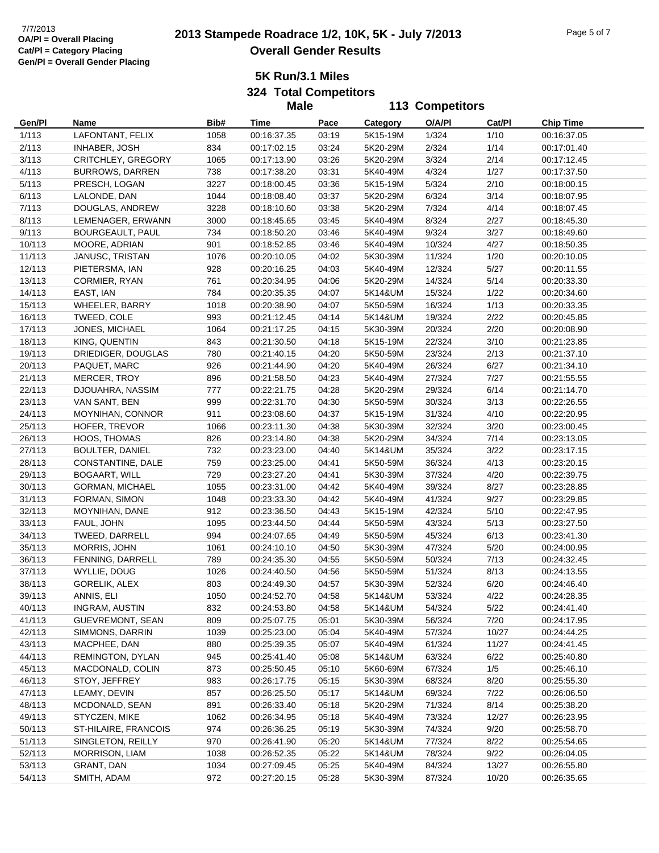# **2013 Stampede Roadrace 1/2, 10K, 5K - July 7/2013** 7/7/2013 Page 5 of 7 **Overall Gender Results**

**5K Run/3.1 Miles**

**324 Total Competitors**

|        |                         |      | <b>Male</b> |       |          | 113 Competitors |        |                  |
|--------|-------------------------|------|-------------|-------|----------|-----------------|--------|------------------|
| Gen/Pl | Name                    | Bib# | Time        | Pace  | Category | O/A/PI          | Cat/PI | <b>Chip Time</b> |
| 1/113  | LAFONTANT, FELIX        | 1058 | 00:16:37.35 | 03:19 | 5K15-19M | 1/324           | 1/10   | 00:16:37.05      |
| 2/113  | INHABER, JOSH           | 834  | 00:17:02.15 | 03:24 | 5K20-29M | 2/324           | 1/14   | 00:17:01.40      |
| 3/113  | CRITCHLEY, GREGORY      | 1065 | 00:17:13.90 | 03:26 | 5K20-29M | 3/324           | 2/14   | 00:17:12.45      |
| 4/113  | <b>BURROWS, DARREN</b>  | 738  | 00:17:38.20 | 03:31 | 5K40-49M | 4/324           | 1/27   | 00:17:37.50      |
| 5/113  | PRESCH, LOGAN           | 3227 | 00:18:00.45 | 03:36 | 5K15-19M | 5/324           | 2/10   | 00:18:00.15      |
| 6/113  | LALONDE, DAN            | 1044 | 00:18:08.40 | 03:37 | 5K20-29M | 6/324           | 3/14   | 00:18:07.95      |
| 7/113  | DOUGLAS, ANDREW         | 3228 | 00:18:10.60 | 03:38 | 5K20-29M | 7/324           | 4/14   | 00:18:07.45      |
| 8/113  | LEMENAGER, ERWANN       | 3000 | 00:18:45.65 | 03:45 | 5K40-49M | 8/324           | 2/27   | 00:18:45.30      |
| 9/113  | <b>BOURGEAULT, PAUL</b> | 734  | 00:18:50.20 | 03:46 | 5K40-49M | 9/324           | 3/27   | 00:18:49.60      |
| 10/113 | MOORE, ADRIAN           | 901  | 00:18:52.85 | 03:46 | 5K40-49M | 10/324          | 4/27   | 00:18:50.35      |
| 11/113 | JANUSC, TRISTAN         | 1076 | 00:20:10.05 | 04:02 | 5K30-39M | 11/324          | 1/20   | 00:20:10.05      |
| 12/113 | PIETERSMA, IAN          | 928  | 00:20:16.25 | 04:03 | 5K40-49M | 12/324          | 5/27   | 00:20:11.55      |
| 13/113 | CORMIER, RYAN           | 761  | 00:20:34.95 | 04:06 | 5K20-29M | 14/324          | 5/14   | 00:20:33.30      |
| 14/113 | EAST, IAN               | 784  | 00:20:35.35 | 04:07 | 5K14&UM  | 15/324          | 1/22   | 00:20:34.60      |
| 15/113 | WHEELER, BARRY          | 1018 | 00:20:38.90 | 04:07 | 5K50-59M | 16/324          | 1/13   | 00:20:33.35      |
| 16/113 | TWEED, COLE             | 993  | 00:21:12.45 | 04:14 | 5K14&UM  | 19/324          | 2/22   | 00:20:45.85      |
| 17/113 | JONES, MICHAEL          | 1064 | 00:21:17.25 | 04:15 | 5K30-39M | 20/324          | 2/20   | 00:20:08.90      |
| 18/113 | KING, QUENTIN           | 843  | 00:21:30.50 | 04:18 | 5K15-19M | 22/324          | 3/10   | 00:21:23.85      |
| 19/113 | DRIEDIGER, DOUGLAS      | 780  | 00:21:40.15 | 04:20 | 5K50-59M | 23/324          | 2/13   | 00:21:37.10      |
| 20/113 | PAQUET, MARC            | 926  | 00:21:44.90 | 04:20 | 5K40-49M | 26/324          | 6/27   | 00:21:34.10      |
| 21/113 | MERCER, TROY            | 896  | 00:21:58.50 | 04:23 | 5K40-49M | 27/324          | 7/27   | 00:21:55.55      |
| 22/113 | DJOUAHRA, NASSIM        | 777  | 00:22:21.75 | 04:28 | 5K20-29M | 29/324          | 6/14   | 00:21:14.70      |
| 23/113 | VAN SANT, BEN           | 999  | 00:22:31.70 | 04:30 | 5K50-59M | 30/324          | 3/13   | 00:22:26.55      |
| 24/113 | MOYNIHAN, CONNOR        | 911  | 00:23:08.60 | 04:37 | 5K15-19M | 31/324          | 4/10   | 00:22:20.95      |
| 25/113 | HOFER, TREVOR           | 1066 | 00:23:11.30 | 04:38 | 5K30-39M | 32/324          | 3/20   | 00:23:00.45      |
| 26/113 | HOOS, THOMAS            | 826  | 00:23:14.80 | 04:38 | 5K20-29M | 34/324          | 7/14   | 00:23:13.05      |
| 27/113 | <b>BOULTER, DANIEL</b>  | 732  | 00:23:23.00 | 04:40 | 5K14&UM  | 35/324          | 3/22   | 00:23:17.15      |
| 28/113 | CONSTANTINE, DALE       | 759  | 00:23:25.00 | 04:41 | 5K50-59M | 36/324          | 4/13   | 00:23:20.15      |
| 29/113 | <b>BOGAART, WILL</b>    | 729  | 00:23:27.20 | 04:41 | 5K30-39M | 37/324          | 4/20   | 00:22:39.75      |
| 30/113 | GORMAN, MICHAEL         | 1055 | 00:23:31.00 | 04:42 | 5K40-49M | 39/324          | 8/27   | 00:23:28.85      |
| 31/113 | FORMAN, SIMON           | 1048 | 00:23:33.30 | 04:42 | 5K40-49M | 41/324          | 9/27   | 00:23:29.85      |
| 32/113 | MOYNIHAN, DANE          | 912  | 00:23:36.50 | 04:43 | 5K15-19M | 42/324          | 5/10   | 00:22:47.95      |
| 33/113 | FAUL, JOHN              | 1095 | 00:23:44.50 | 04:44 | 5K50-59M | 43/324          | 5/13   | 00:23:27.50      |
| 34/113 | TWEED, DARRELL          | 994  | 00:24:07.65 | 04:49 | 5K50-59M | 45/324          | 6/13   | 00:23:41.30      |
| 35/113 | MORRIS, JOHN            | 1061 | 00:24:10.10 | 04:50 | 5K30-39M | 47/324          | 5/20   | 00:24:00.95      |
| 36/113 | FENNING, DARRELL        | 789  | 00:24:35.30 | 04:55 | 5K50-59M | 50/324          | 7/13   | 00:24:32.45      |
| 37/113 | WYLLIE, DOUG            | 1026 | 00:24:40.50 | 04:56 | 5K50-59M | 51/324          | 8/13   | 00:24:13.55      |
| 38/113 | GORELIK, ALEX           | 803  | 00:24:49.30 | 04:57 | 5K30-39M | 52/324          | 6/20   | 00:24:46.40      |
| 39/113 | ANNIS, ELI              | 1050 | 00:24:52.70 | 04:58 | 5K14&UM  | 53/324          | 4/22   | 00:24:28.35      |
| 40/113 | <b>INGRAM, AUSTIN</b>   | 832  | 00:24:53.80 | 04:58 | 5K14&UM  | 54/324          | 5/22   | 00:24:41.40      |
| 41/113 | GUEVREMONT, SEAN        | 809  | 00:25:07.75 | 05:01 | 5K30-39M | 56/324          | 7/20   | 00:24:17.95      |
| 42/113 | SIMMONS, DARRIN         | 1039 | 00:25:23.00 | 05:04 | 5K40-49M | 57/324          | 10/27  | 00:24:44.25      |
| 43/113 | MACPHEE, DAN            | 880  | 00:25:39.35 | 05:07 | 5K40-49M | 61/324          | 11/27  | 00:24:41.45      |
| 44/113 | REMINGTON, DYLAN        | 945  | 00:25:41.40 | 05:08 | 5K14&UM  | 63/324          | 6/22   | 00:25:40.80      |
| 45/113 | MACDONALD, COLIN        | 873  | 00:25:50.45 | 05:10 | 5K60-69M | 67/324          | 1/5    | 00:25:46.10      |
| 46/113 | STOY, JEFFREY           | 983  | 00:26:17.75 | 05:15 | 5K30-39M | 68/324          | 8/20   | 00:25:55.30      |
| 47/113 | LEAMY, DEVIN            | 857  | 00:26:25.50 | 05:17 | 5K14&UM  | 69/324          | 7/22   | 00:26:06.50      |
| 48/113 | MCDONALD, SEAN          | 891  | 00:26:33.40 | 05:18 | 5K20-29M | 71/324          | 8/14   | 00:25:38.20      |
| 49/113 | STYCZEN, MIKE           | 1062 | 00:26:34.95 | 05:18 | 5K40-49M | 73/324          | 12/27  | 00:26:23.95      |
| 50/113 | ST-HILAIRE, FRANCOIS    | 974  | 00:26:36.25 | 05:19 | 5K30-39M | 74/324          | 9/20   | 00:25:58.70      |
| 51/113 | SINGLETON, REILLY       | 970  | 00:26:41.90 | 05:20 | 5K14&UM  | 77/324          | 8/22   | 00:25:54.65      |
| 52/113 | <b>MORRISON, LIAM</b>   | 1038 | 00:26:52.35 | 05:22 | 5K14&UM  | 78/324          | 9/22   | 00:26:04.05      |
| 53/113 | GRANT, DAN              | 1034 | 00:27:09.45 | 05:25 | 5K40-49M | 84/324          | 13/27  | 00:26:55.80      |
| 54/113 | SMITH, ADAM             | 972  | 00:27:20.15 | 05:28 | 5K30-39M | 87/324          | 10/20  | 00:26:35.65      |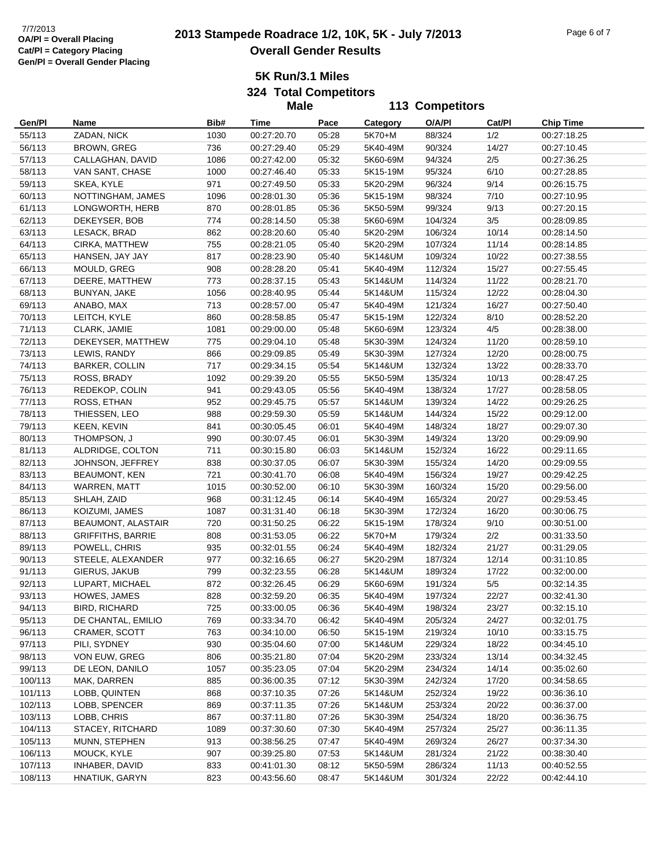# **2013 Stampede Roadrace 1/2, 10K, 5K - July 7/2013** 7/7/2013 Page 6 of 7 **Overall Gender Results**

**5K Run/3.1 Miles**

**324 Total Competitors**

|         |                          |      | <b>Male</b> |       |          | 113 Competitors |        |                  |
|---------|--------------------------|------|-------------|-------|----------|-----------------|--------|------------------|
| Gen/Pl  | Name                     | Bib# | Time        | Pace  | Category | O/A/PI          | Cat/Pl | <b>Chip Time</b> |
| 55/113  | ZADAN, NICK              | 1030 | 00:27:20.70 | 05:28 | 5K70+M   | 88/324          | 1/2    | 00:27:18.25      |
| 56/113  | BROWN, GREG              | 736  | 00:27:29.40 | 05:29 | 5K40-49M | 90/324          | 14/27  | 00:27:10.45      |
| 57/113  | CALLAGHAN, DAVID         | 1086 | 00:27:42.00 | 05:32 | 5K60-69M | 94/324          | 2/5    | 00:27:36.25      |
| 58/113  | VAN SANT, CHASE          | 1000 | 00:27:46.40 | 05:33 | 5K15-19M | 95/324          | 6/10   | 00:27:28.85      |
| 59/113  | SKEA, KYLE               | 971  | 00:27:49.50 | 05:33 | 5K20-29M | 96/324          | 9/14   | 00:26:15.75      |
| 60/113  | NOTTINGHAM, JAMES        | 1096 | 00:28:01.30 | 05:36 | 5K15-19M | 98/324          | 7/10   | 00:27:10.95      |
| 61/113  | LONGWORTH, HERB          | 870  | 00:28:01.85 | 05:36 | 5K50-59M | 99/324          | 9/13   | 00:27:20.15      |
| 62/113  | DEKEYSER, BOB            | 774  | 00:28:14.50 | 05:38 | 5K60-69M | 104/324         | 3/5    | 00:28:09.85      |
| 63/113  | LESACK, BRAD             | 862  | 00:28:20.60 | 05:40 | 5K20-29M | 106/324         | 10/14  | 00:28:14.50      |
| 64/113  | CIRKA, MATTHEW           | 755  | 00:28:21.05 | 05:40 | 5K20-29M | 107/324         | 11/14  | 00:28:14.85      |
| 65/113  | HANSEN, JAY JAY          | 817  | 00:28:23.90 | 05:40 | 5K14&UM  | 109/324         | 10/22  | 00:27:38.55      |
| 66/113  | MOULD, GREG              | 908  | 00:28:28.20 | 05:41 | 5K40-49M | 112/324         | 15/27  | 00:27:55.45      |
| 67/113  | DEERE, MATTHEW           | 773  | 00:28:37.15 | 05:43 | 5K14&UM  | 114/324         | 11/22  | 00:28:21.70      |
| 68/113  | BUNYAN, JAKE             | 1056 | 00:28:40.95 | 05:44 | 5K14&UM  | 115/324         | 12/22  | 00:28:04.30      |
| 69/113  | ANABO, MAX               | 713  | 00:28:57.00 | 05:47 | 5K40-49M | 121/324         | 16/27  | 00:27:50.40      |
| 70/113  | LEITCH, KYLE             | 860  | 00:28:58.85 | 05:47 | 5K15-19M | 122/324         | 8/10   | 00:28:52.20      |
| 71/113  | CLARK, JAMIE             | 1081 | 00:29:00.00 | 05:48 | 5K60-69M | 123/324         | 4/5    | 00:28:38.00      |
| 72/113  | DEKEYSER, MATTHEW        | 775  | 00:29:04.10 | 05:48 | 5K30-39M | 124/324         | 11/20  | 00:28:59.10      |
| 73/113  | LEWIS, RANDY             | 866  | 00:29:09.85 | 05:49 | 5K30-39M | 127/324         | 12/20  | 00:28:00.75      |
| 74/113  | BARKER, COLLIN           | 717  | 00:29:34.15 | 05:54 | 5K14&UM  | 132/324         | 13/22  | 00:28:33.70      |
| 75/113  | ROSS, BRADY              | 1092 | 00:29:39.20 | 05:55 | 5K50-59M | 135/324         | 10/13  | 00:28:47.25      |
| 76/113  | REDEKOP, COLIN           | 941  | 00:29:43.05 | 05:56 | 5K40-49M | 138/324         | 17/27  | 00:28:58.05      |
| 77/113  | ROSS, ETHAN              | 952  | 00:29:45.75 | 05:57 | 5K14&UM  | 139/324         | 14/22  | 00:29:26.25      |
| 78/113  | THIESSEN, LEO            | 988  | 00:29:59.30 | 05:59 | 5K14&UM  | 144/324         | 15/22  | 00:29:12.00      |
| 79/113  | KEEN, KEVIN              | 841  | 00:30:05.45 | 06:01 | 5K40-49M | 148/324         | 18/27  | 00:29:07.30      |
| 80/113  | THOMPSON, J              | 990  | 00:30:07.45 | 06:01 | 5K30-39M | 149/324         | 13/20  | 00:29:09.90      |
| 81/113  | ALDRIDGE, COLTON         | 711  | 00:30:15.80 | 06:03 | 5K14&UM  | 152/324         | 16/22  | 00:29:11.65      |
| 82/113  | JOHNSON, JEFFREY         | 838  | 00:30:37.05 | 06:07 | 5K30-39M | 155/324         | 14/20  | 00:29:09.55      |
| 83/113  | <b>BEAUMONT, KEN</b>     | 721  | 00:30:41.70 | 06:08 | 5K40-49M | 156/324         | 19/27  | 00:29:42.25      |
| 84/113  | WARREN, MATT             | 1015 | 00:30:52.00 | 06:10 | 5K30-39M | 160/324         | 15/20  | 00:29:56.00      |
| 85/113  | SHLAH, ZAID              | 968  | 00:31:12.45 | 06:14 | 5K40-49M | 165/324         | 20/27  | 00:29:53.45      |
| 86/113  | KOIZUMI, JAMES           | 1087 | 00:31:31.40 | 06:18 | 5K30-39M | 172/324         | 16/20  | 00:30:06.75      |
| 87/113  | BEAUMONT, ALASTAIR       | 720  | 00:31:50.25 | 06:22 | 5K15-19M | 178/324         | 9/10   | 00:30:51.00      |
| 88/113  | <b>GRIFFITHS, BARRIE</b> | 808  | 00:31:53.05 | 06:22 | 5K70+M   | 179/324         | 2/2    | 00:31:33.50      |
| 89/113  | POWELL, CHRIS            | 935  | 00:32:01.55 | 06:24 | 5K40-49M | 182/324         | 21/27  | 00:31:29.05      |
| 90/113  | STEELE, ALEXANDER        | 977  | 00:32:16.65 | 06:27 | 5K20-29M | 187/324         | 12/14  | 00:31:10.85      |
| 91/113  | GIERUS, JAKUB            | 799  | 00:32:23.55 | 06:28 | 5K14&UM  | 189/324         | 17/22  | 00:32:00.00      |
| 92/113  | LUPART, MICHAEL          | 872  | 00:32:26.45 | 06:29 | 5K60-69M | 191/324         | 5/5    | 00:32:14.35      |
| 93/113  | HOWES, JAMES             | 828  | 00:32:59.20 | 06:35 | 5K40-49M | 197/324         | 22/27  | 00:32:41.30      |
| 94/113  | <b>BIRD, RICHARD</b>     | 725  | 00:33:00.05 | 06:36 | 5K40-49M | 198/324         | 23/27  | 00:32:15.10      |
| 95/113  | DE CHANTAL, EMILIO       | 769  | 00:33:34.70 | 06:42 | 5K40-49M | 205/324         | 24/27  | 00:32:01.75      |
| 96/113  | <b>CRAMER, SCOTT</b>     | 763  | 00:34:10.00 | 06:50 | 5K15-19M | 219/324         | 10/10  | 00:33:15.75      |
| 97/113  | PILI, SYDNEY             | 930  | 00:35:04.60 | 07:00 | 5K14&UM  | 229/324         | 18/22  | 00:34:45.10      |
| 98/113  | VON EUW, GREG            | 806  | 00:35:21.80 | 07:04 | 5K20-29M | 233/324         | 13/14  | 00:34:32.45      |
| 99/113  | DE LEON, DANILO          | 1057 | 00:35:23.05 | 07:04 | 5K20-29M | 234/324         | 14/14  | 00:35:02.60      |
| 100/113 | MAK, DARREN              | 885  | 00:36:00.35 | 07:12 | 5K30-39M | 242/324         | 17/20  | 00:34:58.65      |
| 101/113 | LOBB, QUINTEN            | 868  | 00:37:10.35 | 07:26 | 5K14&UM  | 252/324         | 19/22  | 00:36:36.10      |
| 102/113 | LOBB, SPENCER            | 869  | 00:37:11.35 | 07:26 | 5K14&UM  | 253/324         | 20/22  | 00:36:37.00      |
| 103/113 | LOBB, CHRIS              | 867  | 00:37:11.80 | 07:26 | 5K30-39M | 254/324         | 18/20  | 00:36:36.75      |
| 104/113 | STACEY, RITCHARD         | 1089 | 00:37:30.60 | 07:30 | 5K40-49M | 257/324         | 25/27  | 00:36:11.35      |
| 105/113 | MUNN, STEPHEN            | 913  | 00:38:56.25 | 07:47 | 5K40-49M | 269/324         | 26/27  | 00:37:34.30      |
| 106/113 | MOUCK, KYLE              | 907  | 00:39:25.80 | 07:53 | 5K14&UM  | 281/324         | 21/22  | 00:38:30.40      |
| 107/113 | INHABER, DAVID           | 833  | 00:41:01.30 | 08:12 | 5K50-59M | 286/324         | 11/13  | 00:40:52.55      |
| 108/113 | HNATIUK, GARYN           | 823  | 00:43:56.60 | 08:47 | 5K14&UM  | 301/324         | 22/22  | 00:42:44.10      |